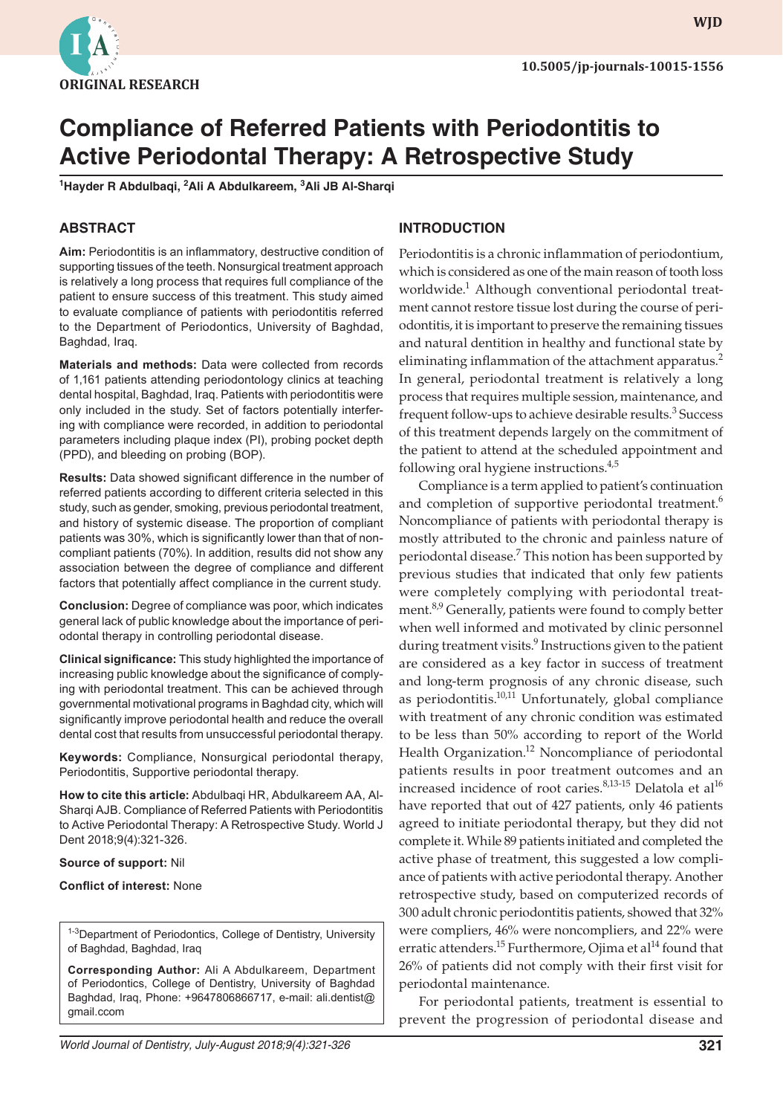

# **Compliance of Referred Patients with Periodontitis to Active Periodontal Therapy: A Retrospective Study**

**1 Hayder R Abdulbaqi, 2 Ali A Abdulkareem, 3 Ali JB Al-Sharqi**

#### **ABSTRACT**

**Aim:** Periodontitis is an inflammatory, destructive condition of supporting tissues of the teeth. Nonsurgical treatment approach is relatively a long process that requires full compliance of the patient to ensure success of this treatment. This study aimed to evaluate compliance of patients with periodontitis referred to the Department of Periodontics, University of Baghdad, Baghdad, Iraq.

**Materials and methods:** Data were collected from records of 1,161 patients attending periodontology clinics at teaching dental hospital, Baghdad, Iraq. Patients with periodontitis were only included in the study. Set of factors potentially interfering with compliance were recorded, in addition to periodontal parameters including plaque index (PI), probing pocket depth (PPD), and bleeding on probing (BOP).

**Results:** Data showed significant difference in the number of referred patients according to different criteria selected in this study, such as gender, smoking, previous periodontal treatment, and history of systemic disease. The proportion of compliant patients was 30%, which is significantly lower than that of noncompliant patients (70%). In addition, results did not show any association between the degree of compliance and different factors that potentially affect compliance in the current study.

**Conclusion:** Degree of compliance was poor, which indicates general lack of public knowledge about the importance of periodontal therapy in controlling periodontal disease.

**Clinical significance:** This study highlighted the importance of increasing public knowledge about the significance of complying with periodontal treatment. This can be achieved through governmental motivational programs in Baghdad city, which will significantly improve periodontal health and reduce the overall dental cost that results from unsuccessful periodontal therapy.

**Keywords:** Compliance, Nonsurgical periodontal therapy, Periodontitis, Supportive periodontal therapy.

**How to cite this article:** Abdulbaqi HR, Abdulkareem AA, Al-Sharqi AJB. Compliance of Referred Patients with Periodontitis to Active Periodontal Therapy: A Retrospective Study. World J Dent 2018;9(4):321-326.

#### **Source of support:** Nil

**Conflict of interest:** None

1-3Department of Periodontics, College of Dentistry, University of Baghdad, Baghdad, Iraq

**Corresponding Author:** Ali A Abdulkareem, Department of Periodontics, College of Dentistry, University of Baghdad Baghdad, Iraq, Phone: +9647806866717, e-mail: ali.dentist@ gmail.ccom

#### **INTRODUCTION**

Periodontitis is a chronic inflammation of periodontium, which is considered as one of the main reason of tooth loss worldwide.<sup>1</sup> Although conventional periodontal treatment cannot restore tissue lost during the course of periodontitis, it is important to preserve the remaining tissues and natural dentition in healthy and functional state by eliminating inflammation of the attachment apparatus.<sup>2</sup> In general, periodontal treatment is relatively a long process that requires multiple session, maintenance, and frequent follow-ups to achieve desirable results.<sup>3</sup> Success of this treatment depends largely on the commitment of the patient to attend at the scheduled appointment and following oral hygiene instructions.<sup>4,5</sup>

Compliance is a term applied to patient's continuation and completion of supportive periodontal treatment.<sup>6</sup> Noncompliance of patients with periodontal therapy is mostly attributed to the chronic and painless nature of periodontal disease.<sup>7</sup> This notion has been supported by previous studies that indicated that only few patients were completely complying with periodontal treatment.<sup>8,9</sup> Generally, patients were found to comply better when well informed and motivated by clinic personnel during treatment visits.<sup>9</sup> Instructions given to the patient are considered as a key factor in success of treatment and long-term prognosis of any chronic disease, such as periodontitis.10,11 Unfortunately, global compliance with treatment of any chronic condition was estimated to be less than 50% according to report of the World Health Organization.<sup>12</sup> Noncompliance of periodontal patients results in poor treatment outcomes and an increased incidence of root caries. $8,13-15$  Delatola et al<sup>16</sup> have reported that out of 427 patients, only 46 patients agreed to initiate periodontal therapy, but they did not complete it. While 89 patients initiated and completed the active phase of treatment, this suggested a low compliance of patients with active periodontal therapy. Another retrospective study, based on computerized records of 300 adult chronic periodontitis patients, showed that 32% were compliers, 46% were noncompliers, and 22% were erratic attenders.<sup>15</sup> Furthermore, Ojima et al<sup>14</sup> found that 26% of patients did not comply with their first visit for periodontal maintenance.

For periodontal patients, treatment is essential to prevent the progression of periodontal disease and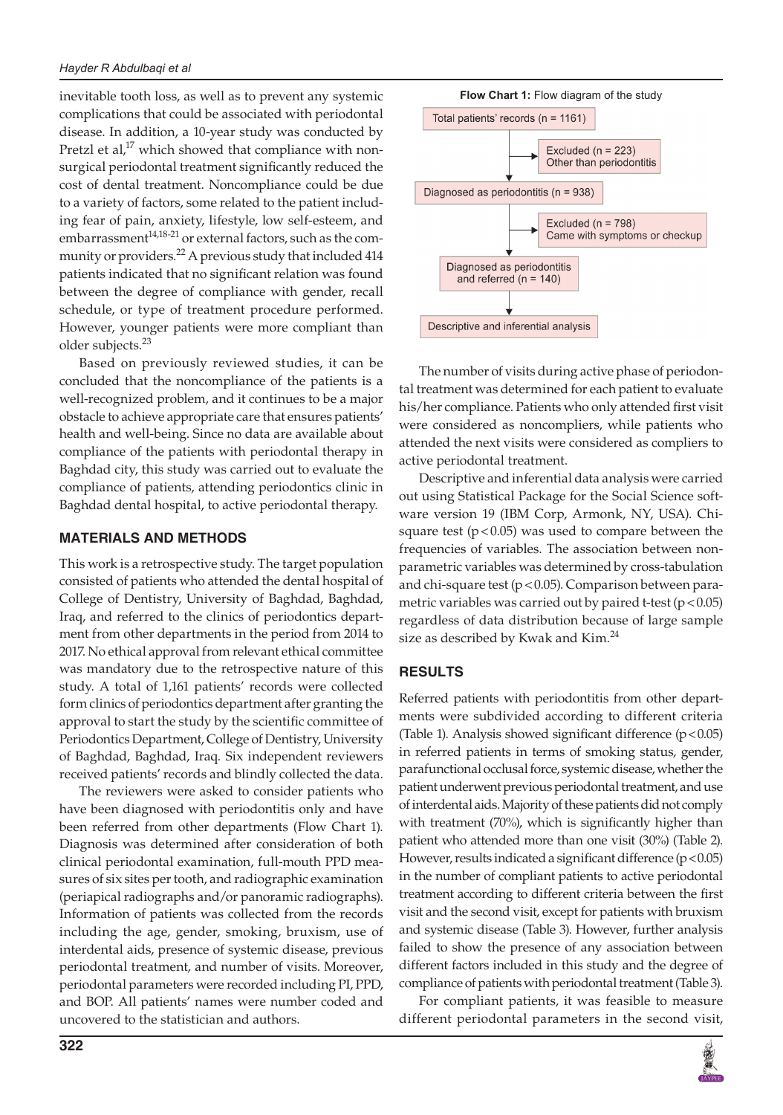inevitable tooth loss, as well as to prevent any systemic complications that could be associated with periodontal disease. In addition, a 10-year study was conducted by Pretzl et al,<sup>17</sup> which showed that compliance with nonsurgical periodontal treatment significantly reduced the cost of dental treatment. Noncompliance could be due to a variety of factors, some related to the patient including fear of pain, anxiety, lifestyle, low self-esteem, and  $embarrassment<sup>14,18-21</sup>$  or external factors, such as the community or providers.<sup>22</sup> A previous study that included 414 patients indicated that no significant relation was found between the degree of compliance with gender, recall schedule, or type of treatment procedure performed. However, younger patients were more compliant than older subjects.<sup>23</sup>

Based on previously reviewed studies, it can be concluded that the noncompliance of the patients is a well-recognized problem, and it continues to be a major obstacle to achieve appropriate care that ensures patients' health and well-being. Since no data are available about compliance of the patients with periodontal therapy in Baghdad city, this study was carried out to evaluate the compliance of patients, attending periodontics clinic in Baghdad dental hospital, to active periodontal therapy.

## **MATERIALS AND METHODS**

This work is a retrospective study. The target population consisted of patients who attended the dental hospital of College of Dentistry, University of Baghdad, Baghdad, Iraq, and referred to the clinics of periodontics department from other departments in the period from 2014 to 2017. No ethical approval from relevant ethical committee was mandatory due to the retrospective nature of this study. A total of 1,161 patients' records were collected form clinics of periodontics department after granting the approval to start the study by the scientific committee of Periodontics Department, College of Dentistry, University of Baghdad, Baghdad, Iraq. Six independent reviewers received patients' records and blindly collected the data.

The reviewers were asked to consider patients who have been diagnosed with periodontitis only and have been referred from other departments (Flow Chart 1). Diagnosis was determined after consideration of both clinical periodontal examination, full-mouth PPD measures of six sites per tooth, and radiographic examination (periapical radiographs and/or panoramic radiographs). Information of patients was collected from the records including the age, gender, smoking, bruxism, use of interdental aids, presence of systemic disease, previous periodontal treatment, and number of visits. Moreover, periodontal parameters were recorded including PI, PPD, and BOP. All patients' names were number coded and uncovered to the statistician and authors.



The number of visits during active phase of periodontal treatment was determined for each patient to evaluate his/her compliance. Patients who only attended first visit were considered as noncompliers, while patients who attended the next visits were considered as compliers to active periodontal treatment.

Descriptive and inferential data analysis were carried out using Statistical Package for the Social Science software version 19 (IBM Corp, Armonk, NY, USA). Chisquare test  $(p < 0.05)$  was used to compare between the frequencies of variables. The association between nonparametric variables was determined by cross-tabulation and chi-square test ( $p < 0.05$ ). Comparison between parametric variables was carried out by paired t-test ( $p < 0.05$ ) regardless of data distribution because of large sample size as described by Kwak and Kim.<sup>24</sup>

## **RESULTS**

Referred patients with periodontitis from other departments were subdivided according to different criteria (Table 1). Analysis showed significant difference  $(p<0.05)$ in referred patients in terms of smoking status, gender, parafunctional occlusal force, systemic disease, whether the patient underwent previous periodontal treatment, and use of interdental aids. Majority of these patients did not comply with treatment (70%), which is significantly higher than patient who attended more than one visit (30%) (Table 2). However, results indicated a significant difference  $(p < 0.05)$ in the number of compliant patients to active periodontal treatment according to different criteria between the first visit and the second visit, except for patients with bruxism and systemic disease (Table 3). However, further analysis failed to show the presence of any association between different factors included in this study and the degree of compliance of patients with periodontal treatment (Table 3).

For compliant patients, it was feasible to measure different periodontal parameters in the second visit,

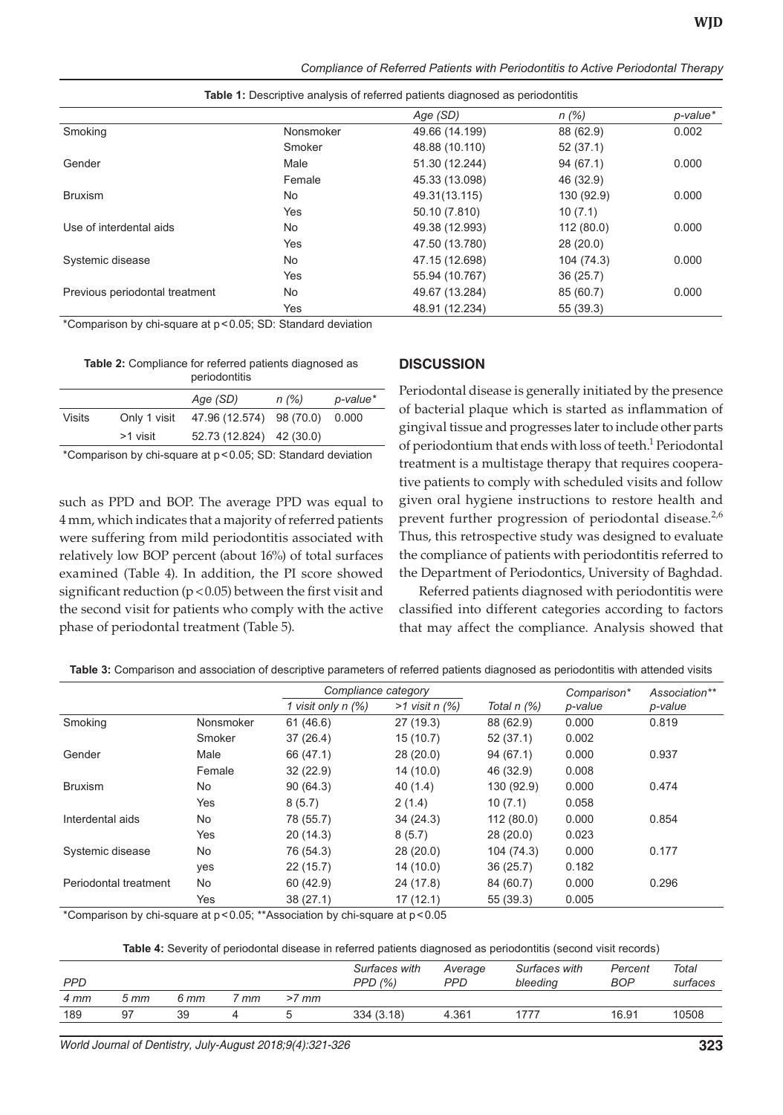| Compliance of Referred Patients with Periodontitis to Active Periodontal Therapy |  |  |
|----------------------------------------------------------------------------------|--|--|
|----------------------------------------------------------------------------------|--|--|

|                                |           | Age (SD)       | n(%)       | p-value* |
|--------------------------------|-----------|----------------|------------|----------|
| Smoking                        | Nonsmoker | 49.66 (14.199) | 88 (62.9)  | 0.002    |
|                                | Smoker    | 48.88 (10.110) | 52(37.1)   |          |
| Gender                         | Male      | 51.30 (12.244) | 94(67.1)   | 0.000    |
|                                | Female    | 45.33 (13.098) | 46 (32.9)  |          |
| <b>Bruxism</b>                 | No.       | 49.31(13.115)  | 130 (92.9) | 0.000    |
|                                | Yes       | 50.10 (7.810)  | 10(7.1)    |          |
| Use of interdental aids        | No        | 49.38 (12.993) | 112(80.0)  | 0.000    |
|                                | Yes       | 47.50 (13.780) | 28(20.0)   |          |
| Systemic disease               | No        | 47.15 (12.698) | 104 (74.3) | 0.000    |
|                                | Yes       | 55.94 (10.767) | 36(25.7)   |          |
| Previous periodontal treatment | No        | 49.67 (13.284) | 85 (60.7)  | 0.000    |
|                                | Yes       | 48.91 (12.234) | 55 (39.3)  |          |

**Table 1:** Descriptive analysis of referred patients diagnosed as periodontitis

\*Comparison by chi-square at p<0.05; SD: Standard deviation

**Table 2:** Compliance for referred patients diagnosed as periodontitis

|        |              | periodorititio           |       |          |
|--------|--------------|--------------------------|-------|----------|
|        |              | Age (SD)                 | n (%) | p-value* |
| Visits | Only 1 visit | 47.96 (12.574) 98 (70.0) |       | 0.000    |
|        | >1 visit     | 52.73 (12.824) 42 (30.0) |       |          |
|        |              |                          |       |          |

\*Comparison by chi-square at p<0.05; SD: Standard deviation

such as PPD and BOP. The average PPD was equal to 4 mm, which indicates that a majority of referred patients were suffering from mild periodontitis associated with relatively low BOP percent (about 16%) of total surfaces examined (Table 4). In addition, the PI score showed significant reduction ( $p < 0.05$ ) between the first visit and the second visit for patients who comply with the active phase of periodontal treatment (Table 5).

#### **DISCUSSION**

Periodontal disease is generally initiated by the presence of bacterial plaque which is started as inflammation of gingival tissue and progresses later to include other parts of periodontium that ends with loss of teeth.<sup>1</sup> Periodontal treatment is a multistage therapy that requires cooperative patients to comply with scheduled visits and follow given oral hygiene instructions to restore health and prevent further progression of periodontal disease.<sup>2,6</sup> Thus, this retrospective study was designed to evaluate the compliance of patients with periodontitis referred to the Department of Periodontics, University of Baghdad.

Referred patients diagnosed with periodontitis were classified into different categories according to factors that may affect the compliance. Analysis showed that

**Table 3:** Comparison and association of descriptive parameters of referred patients diagnosed as periodontitis with attended visits

|                       |           | Compliance category  |                    |             | Comparison* | Association** |
|-----------------------|-----------|----------------------|--------------------|-------------|-------------|---------------|
|                       |           | 1 visit only $n$ (%) | $>1$ visit n $(%)$ | Total n (%) | p-value     | p-value       |
| Smoking               | Nonsmoker | 61 (46.6)            | 27 (19.3)          | 88 (62.9)   | 0.000       | 0.819         |
|                       | Smoker    | 37(26.4)             | 15(10.7)           | 52(37.1)    | 0.002       |               |
| Gender                | Male      | 66 (47.1)            | 28(20.0)           | 94(67.1)    | 0.000       | 0.937         |
|                       | Female    | 32(22.9)             | 14 (10.0)          | 46 (32.9)   | 0.008       |               |
| <b>Bruxism</b>        | No.       | 90(64.3)             | 40(1.4)            | 130 (92.9)  | 0.000       | 0.474         |
|                       | Yes       | 8(5.7)               | 2(1.4)             | 10(7.1)     | 0.058       |               |
| Interdental aids      | <b>No</b> | 78 (55.7)            | 34(24.3)           | 112(80.0)   | 0.000       | 0.854         |
|                       | Yes       | 20(14.3)             | 8(5.7)             | 28(20.0)    | 0.023       |               |
| Systemic disease      | <b>No</b> | 76 (54.3)            | 28(20.0)           | 104 (74.3)  | 0.000       | 0.177         |
|                       | yes       | 22(15.7)             | 14 (10.0)          | 36(25.7)    | 0.182       |               |
| Periodontal treatment | No.       | 60(42.9)             | 24 (17.8)          | 84 (60.7)   | 0.000       | 0.296         |
|                       | Yes       | 38(27.1)             | 17 (12.1)          | 55 (39.3)   | 0.005       |               |

\*Comparison by chi-square at p<0.05; \*\*Association by chi-square at p<0.05

**Table 4:** Severity of periodontal disease in referred patients diagnosed as periodontitis (second visit records)

| <b>PPD</b> |      |      |    |         | Surfaces with<br>PPD(%) | Average<br><b>PPD</b> | Surfaces with<br>bleeding | Percent<br>BOP | Total<br>surfaces |
|------------|------|------|----|---------|-------------------------|-----------------------|---------------------------|----------------|-------------------|
| 4 mm       | 5 mm | 6 mm | mm | $>7$ mm |                         |                       |                           |                |                   |
| 189        | 97   | 39   |    |         | 334(3.18)               | 4.361                 | 1777                      | 16.91          | 10508             |

*World Journal of Dentistry, July-August 2018;9(4):321-326* **323**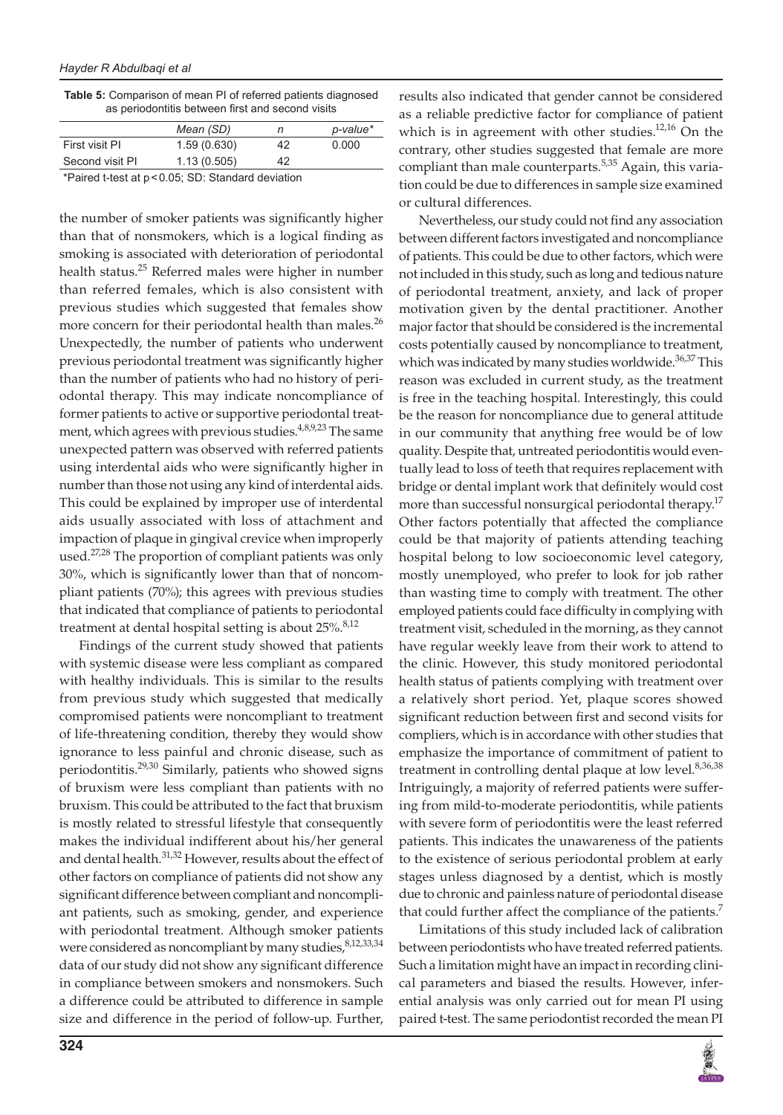| <b>Table 5:</b> Comparison of mean PI of referred patients diagnosed |
|----------------------------------------------------------------------|
| as periodontitis between first and second visits                     |

|                                                  | Mean (SD)   |    | p-value* |  |  |
|--------------------------------------------------|-------------|----|----------|--|--|
| First visit PI                                   | 1.59(0.630) | 42 | 0.000    |  |  |
| Second visit PI                                  | 1.13(0.505) | 42 |          |  |  |
| $*Dairod + tootot A B C. CD. Chendard deviation$ |             |    |          |  |  |

Paired t-test at p<0.05; SD: Standard deviation

the number of smoker patients was significantly higher than that of nonsmokers, which is a logical finding as smoking is associated with deterioration of periodontal health status.<sup>25</sup> Referred males were higher in number than referred females, which is also consistent with previous studies which suggested that females show more concern for their periodontal health than males.<sup>26</sup> Unexpectedly, the number of patients who underwent previous periodontal treatment was significantly higher than the number of patients who had no history of periodontal therapy. This may indicate noncompliance of former patients to active or supportive periodontal treatment, which agrees with previous studies.<sup>4,8,9,23</sup> The same unexpected pattern was observed with referred patients using interdental aids who were significantly higher in number than those not using any kind of interdental aids. This could be explained by improper use of interdental aids usually associated with loss of attachment and impaction of plaque in gingival crevice when improperly used.<sup>27,28</sup> The proportion of compliant patients was only 30%, which is significantly lower than that of noncompliant patients (70%); this agrees with previous studies that indicated that compliance of patients to periodontal treatment at dental hospital setting is about  $25\%$ .<sup>8,12</sup>

Findings of the current study showed that patients with systemic disease were less compliant as compared with healthy individuals. This is similar to the results from previous study which suggested that medically compromised patients were noncompliant to treatment of life-threatening condition, thereby they would show ignorance to less painful and chronic disease, such as periodontitis.<sup>29,30</sup> Similarly, patients who showed signs of bruxism were less compliant than patients with no bruxism. This could be attributed to the fact that bruxism is mostly related to stressful lifestyle that consequently makes the individual indifferent about his/her general and dental health.<sup>31,32</sup> However, results about the effect of other factors on compliance of patients did not show any significant difference between compliant and noncompliant patients, such as smoking, gender, and experience with periodontal treatment. Although smoker patients were considered as noncompliant by many studies, <sup>8,12,33,34</sup> data of our study did not show any significant difference in compliance between smokers and nonsmokers. Such a difference could be attributed to difference in sample size and difference in the period of follow-up. Further,

results also indicated that gender cannot be considered as a reliable predictive factor for compliance of patient which is in agreement with other studies.<sup>12,16</sup> On the contrary, other studies suggested that female are more compliant than male counterparts.<sup>5,35</sup> Again, this variation could be due to differences in sample size examined or cultural differences.

Nevertheless, our study could not find any association between different factors investigated and noncompliance of patients. This could be due to other factors, which were not included in this study, such as long and tedious nature of periodontal treatment, anxiety, and lack of proper motivation given by the dental practitioner. Another major factor that should be considered is the incremental costs potentially caused by noncompliance to treatment, which was indicated by many studies worldwide.<sup>36,37</sup> This reason was excluded in current study, as the treatment is free in the teaching hospital. Interestingly, this could be the reason for noncompliance due to general attitude in our community that anything free would be of low quality. Despite that, untreated periodontitis would eventually lead to loss of teeth that requires replacement with bridge or dental implant work that definitely would cost more than successful nonsurgical periodontal therapy.<sup>17</sup> Other factors potentially that affected the compliance could be that majority of patients attending teaching hospital belong to low socioeconomic level category, mostly unemployed, who prefer to look for job rather than wasting time to comply with treatment. The other employed patients could face difficulty in complying with treatment visit, scheduled in the morning, as they cannot have regular weekly leave from their work to attend to the clinic. However, this study monitored periodontal health status of patients complying with treatment over a relatively short period. Yet, plaque scores showed significant reduction between first and second visits for compliers, which is in accordance with other studies that emphasize the importance of commitment of patient to treatment in controlling dental plaque at low level.<sup>8,36,38</sup> Intriguingly, a majority of referred patients were suffering from mild-to-moderate periodontitis, while patients with severe form of periodontitis were the least referred patients. This indicates the unawareness of the patients to the existence of serious periodontal problem at early stages unless diagnosed by a dentist, which is mostly due to chronic and painless nature of periodontal disease that could further affect the compliance of the patients.<sup>7</sup>

Limitations of this study included lack of calibration between periodontists who have treated referred patients. Such a limitation might have an impact in recording clinical parameters and biased the results. However, inferential analysis was only carried out for mean PI using paired t-test. The same periodontist recorded the mean PI

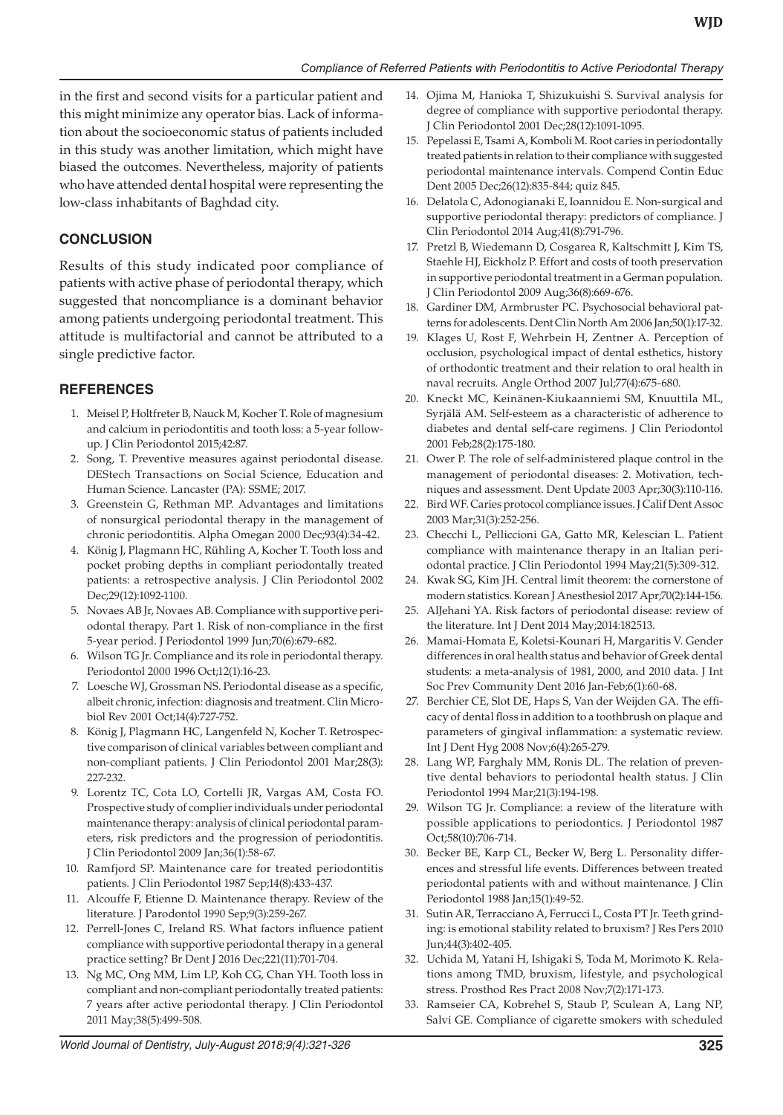in the first and second visits for a particular patient and this might minimize any operator bias. Lack of information about the socioeconomic status of patients included in this study was another limitation, which might have biased the outcomes. Nevertheless, majority of patients who have attended dental hospital were representing the low-class inhabitants of Baghdad city.

# **CONCLUSION**

Results of this study indicated poor compliance of patients with active phase of periodontal therapy, which suggested that noncompliance is a dominant behavior among patients undergoing periodontal treatment. This attitude is multifactorial and cannot be attributed to a single predictive factor.

# **REFERENCES**

- 1. Meisel P, Holtfreter B, Nauck M, Kocher T. Role of magnesium and calcium in periodontitis and tooth loss: a 5-year followup. J Clin Periodontol 2015;42:87.
- 2. Song, T. Preventive measures against periodontal disease. DEStech Transactions on Social Science, Education and Human Science. Lancaster (PA): SSME; 2017.
- 3. Greenstein G, Rethman MP. Advantages and limitations of nonsurgical periodontal therapy in the management of chronic periodontitis. Alpha Omegan 2000 Dec;93(4):34-42.
- 4. König J, Plagmann HC, Rühling A, Kocher T. Tooth loss and pocket probing depths in compliant periodontally treated patients: a retrospective analysis. J Clin Periodontol 2002 Dec;29(12):1092-1100.
- 5. Novaes AB Jr, Novaes AB. Compliance with supportive periodontal therapy. Part 1. Risk of non-compliance in the first 5-year period. J Periodontol 1999 Jun;70(6):679-682.
- 6. Wilson TG Jr. Compliance and its role in periodontal therapy. Periodontol 2000 1996 Oct;12(1):16-23.
- 7. Loesche WJ, Grossman NS. Periodontal disease as a specific, albeit chronic, infection: diagnosis and treatment. Clin Microbiol Rev 2001 Oct;14(4):727-752.
- 8. König J, Plagmann HC, Langenfeld N, Kocher T. Retrospective comparison of clinical variables between compliant and non-compliant patients. J Clin Periodontol 2001 Mar;28(3): 227-232.
- 9. Lorentz TC, Cota LO, Cortelli JR, Vargas AM, Costa FO. Prospective study of complier individuals under periodontal maintenance therapy: analysis of clinical periodontal parameters, risk predictors and the progression of periodontitis. J Clin Periodontol 2009 Jan;36(1):58-67.
- 10. Ramfjord SP. Maintenance care for treated periodontitis patients. J Clin Periodontol 1987 Sep;14(8):433-437.
- 11. Alcouffe F, Etienne D. Maintenance therapy. Review of the literature. J Parodontol 1990 Sep;9(3):259-267.
- 12. Perrell-Jones C, Ireland RS. What factors influence patient compliance with supportive periodontal therapy in a general practice setting? Br Dent J 2016 Dec;221(11):701-704.
- 13. Ng MC, Ong MM, Lim LP, Koh CG, Chan YH. Tooth loss in compliant and non-compliant periodontally treated patients: 7 years after active periodontal therapy. J Clin Periodontol 2011 May;38(5):499-508.
- 14. Ojima M, Hanioka T, Shizukuishi S. Survival analysis for degree of compliance with supportive periodontal therapy. J Clin Periodontol 2001 Dec;28(12):1091-1095.
- 15. Pepelassi E, Tsami A, Komboli M. Root caries in periodontally treated patients in relation to their compliance with suggested periodontal maintenance intervals. Compend Contin Educ Dent 2005 Dec;26(12):835-844; quiz 845.
- 16. Delatola C, Adonogianaki E, Ioannidou E. Non-surgical and supportive periodontal therapy: predictors of compliance. J Clin Periodontol 2014 Aug;41(8):791-796.
- 17. Pretzl B, Wiedemann D, Cosgarea R, Kaltschmitt J, Kim TS, Staehle HJ, Eickholz P. Effort and costs of tooth preservation in supportive periodontal treatment in a German population. J Clin Periodontol 2009 Aug;36(8):669-676.
- 18. Gardiner DM, Armbruster PC. Psychosocial behavioral patterns for adolescents. Dent Clin North Am 2006 Jan;50(1):17-32.
- 19. Klages U, Rost F, Wehrbein H, Zentner A. Perception of occlusion, psychological impact of dental esthetics, history of orthodontic treatment and their relation to oral health in naval recruits. Angle Orthod 2007 Jul;77(4):675-680.
- 20. Kneckt MC, Keinänen-Kiukaanniemi SM, Knuuttila ML, Syrjälä AM. Self-esteem as a characteristic of adherence to diabetes and dental self-care regimens. J Clin Periodontol 2001 Feb;28(2):175-180.
- 21. Ower P. The role of self-administered plaque control in the management of periodontal diseases: 2. Motivation, techniques and assessment. Dent Update 2003 Apr;30(3):110-116.
- 22. Bird WF. Caries protocol compliance issues. J Calif Dent Assoc 2003 Mar;31(3):252-256.
- 23. Checchi L, Pelliccioni GA, Gatto MR, Kelescian L. Patient compliance with maintenance therapy in an Italian periodontal practice. J Clin Periodontol 1994 May;21(5):309-312.
- 24. Kwak SG, Kim JH. Central limit theorem: the cornerstone of modern statistics. Korean J Anesthesiol 2017 Apr;70(2):144-156.
- 25. AlJehani YA. Risk factors of periodontal disease: review of the literature. Int J Dent 2014 May;2014:182513.
- 26. Mamai-Homata E, Koletsi-Kounari H, Margaritis V. Gender differences in oral health status and behavior of Greek dental students: a meta-analysis of 1981, 2000, and 2010 data. J Int Soc Prev Community Dent 2016 Jan-Feb;6(1):60-68.
- 27. Berchier CE, Slot DE, Haps S, Van der Weijden GA. The efficacy of dental floss in addition to a toothbrush on plaque and parameters of gingival inflammation: a systematic review. Int J Dent Hyg 2008 Nov;6(4):265-279.
- 28. Lang WP, Farghaly MM, Ronis DL. The relation of preventive dental behaviors to periodontal health status. J Clin Periodontol 1994 Mar;21(3):194-198.
- 29. Wilson TG Jr. Compliance: a review of the literature with possible applications to periodontics. J Periodontol 1987 Oct;58(10):706-714.
- 30. Becker BE, Karp CL, Becker W, Berg L. Personality differences and stressful life events. Differences between treated periodontal patients with and without maintenance. J Clin Periodontol 1988 Jan;15(1):49-52.
- 31. Sutin AR, Terracciano A, Ferrucci L, Costa PT Jr. Teeth grinding: is emotional stability related to bruxism? J Res Pers 2010 Jun;44(3):402-405.
- 32. Uchida M, Yatani H, Ishigaki S, Toda M, Morimoto K. Relations among TMD, bruxism, lifestyle, and psychological stress. Prosthod Res Pract 2008 Nov;7(2):171-173.
- 33. Ramseier CA, Kobrehel S, Staub P, Sculean A, Lang NP, Salvi GE. Compliance of cigarette smokers with scheduled